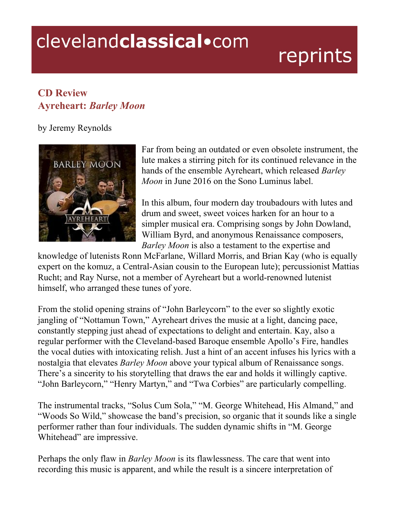## clevelandclassical.com

## reprints

## **CD Review Ayreheart:** *Barley Moon*

by Jeremy Reynolds



Far from being an outdated or even obsolete instrument, the lute makes a stirring pitch for its continued relevance in the hands of the ensemble Ayreheart, which released *Barley Moon* in June 2016 on the Sono Luminus label.

In this album, four modern day troubadours with lutes and drum and sweet, sweet voices harken for an hour to a simpler musical era. Comprising songs by John Dowland, William Byrd, and anonymous Renaissance composers, *Barley Moon* is also a testament to the expertise and

knowledge of lutenists Ronn McFarlane, Willard Morris, and Brian Kay (who is equally expert on the komuz, a Central-Asian cousin to the European lute); percussionist Mattias Rucht; and Ray Nurse, not a member of Ayreheart but a world-renowned lutenist himself, who arranged these tunes of yore.

From the stolid opening strains of "John Barleycorn" to the ever so slightly exotic jangling of "Nottamun Town," Ayreheart drives the music at a light, dancing pace, constantly stepping just ahead of expectations to delight and entertain. Kay, also a regular performer with the Cleveland-based Baroque ensemble Apollo's Fire, handles the vocal duties with intoxicating relish. Just a hint of an accent infuses his lyrics with a nostalgia that elevates *Barley Moon* above your typical album of Renaissance songs. There's a sincerity to his storytelling that draws the ear and holds it willingly captive. "John Barleycorn," "Henry Martyn," and "Twa Corbies" are particularly compelling.

The instrumental tracks, "Solus Cum Sola," "M. George Whitehead, His Almand," and "Woods So Wild," showcase the band's precision, so organic that it sounds like a single performer rather than four individuals. The sudden dynamic shifts in "M. George Whitehead" are impressive.

Perhaps the only flaw in *Barley Moon* is its flawlessness. The care that went into recording this music is apparent, and while the result is a sincere interpretation of